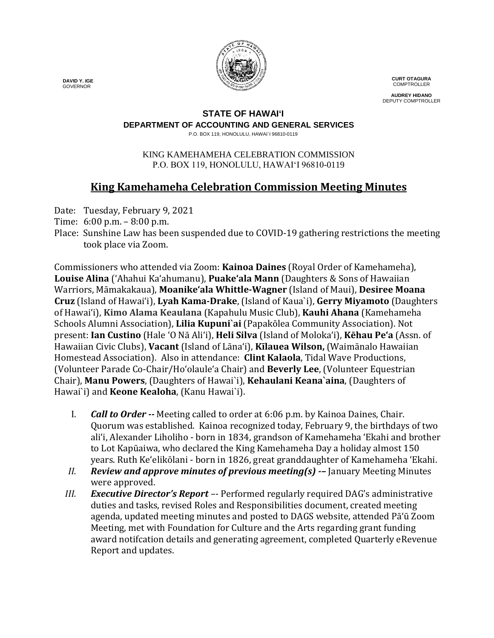

**CURT OTAGURA COMPTROLLER** 

**AUDREY HIDANO** DEPUTY COMPTROLLER

### **STATE OF HAWAI'I**

**DEPARTMENT OF ACCOUNTING AND GENERAL SERVICES**

P.O. BOX 119, HONOLULU, HAWAI`I 96810-0119

#### KING KAMEHAMEHA CELEBRATION COMMISSION P.O. BOX 119, HONOLULU, HAWAIʻI 96810-0119

# **King Kamehameha Celebration Commission Meeting Minutes**

Date: Tuesday, February 9, 2021

- Time: 6:00 p.m. 8:00 p.m.
- Place: Sunshine Law has been suspended due to COVID-19 gathering restrictions the meeting took place via Zoom.

Commissioners who attended via Zoom: **Kainoa Daines** (Royal Order of Kamehameha), **Louise Alina** ('Ahahui Ka'ahumanu), **Puake'ala Mann** (Daughters & Sons of Hawaiian Warriors, Māmakakaua), **Moanike'ala Whittle-Wagner** (Island of Maui), **Desiree Moana Cruz** (Island of Hawai'i), **Lyah Kama-Drake**, (Island of Kaua`i), **Gerry Miyamoto** (Daughters of Hawai'i), **Kimo Alama Keaulana** (Kapahulu Music Club), **Kauhi Ahana** (Kamehameha Schools Alumni Association), **Lilia Kupuni`ai** (Papakōlea Community Association). Not present: **Ian Custino** (Hale 'O Nā Ali'i), **Heli Silva** (Island of Molokaʻi), **Kēhau Pe'a** (Assn. of Hawaiian Civic Clubs), **Vacant** (Island of Lāna'i), **Kīlauea Wilson,** (Waimānalo Hawaiian Homestead Association). Also in attendance: **Clint Kalaola**, Tidal Wave Productions, (Volunteer Parade Co-Chair/Ho'olaule'a Chair) and **Beverly Lee**, (Volunteer Equestrian Chair), **Manu Powers**, (Daughters of Hawai`i), **Kehaulani Keana`aina**, (Daughters of Hawai`i) and **Keone Kealoha**, (Kanu Hawai`i).

- I. *Call to Order --* Meeting called to order at 6:06 p.m. by Kainoa Daines, Chair. Quorum was established. Kainoa recognized today, February 9, the birthdays of two ali'i, Alexander Liholiho - born in 1834, grandson of Kamehameha 'Ekahi and brother to Lot Kapūaiwa, who declared the King Kamehameha Day a holiday almost 150 years. Ruth Ke'elikōlani - born in 1826, great granddaughter of Kamehameha 'Ekahi.
- *II. Review and approve minutes of previous meeting(s) -–* January Meeting Minutes were approved.
- *III. Executive Director's Report –-* Performed regularly required DAG's administrative duties and tasks, revised Roles and Responsibilities document, created meeting agenda, updated meeting minutes and posted to DAGS website, attended Pā'ū Zoom Meeting, met with Foundation for Culture and the Arts regarding grant funding award notifcation details and generating agreement, completed Quarterly eRevenue Report and updates.

 **DAVID Y. IGE** GOVERNOR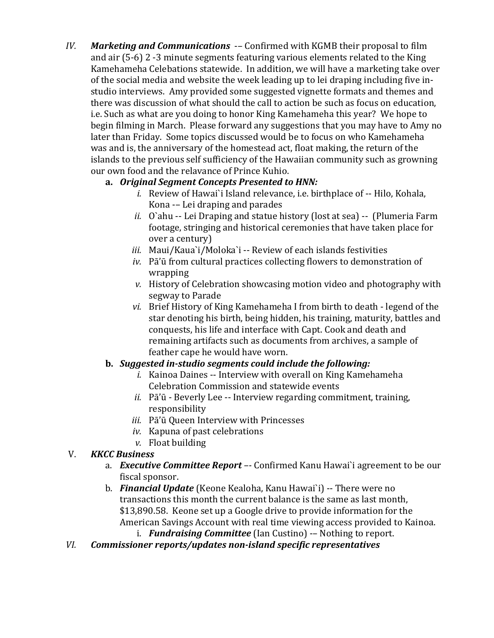*IV. Marketing and Communications* -*–* Confirmed with KGMB their proposal to film and air (5-6) 2 -3 minute segments featuring various elements related to the King Kamehameha Celebations statewide. In addition, we will have a marketing take over of the social media and website the week leading up to lei draping including five instudio interviews. Amy provided some suggested vignette formats and themes and there was discussion of what should the call to action be such as focus on education, i.e. Such as what are you doing to honor King Kamehameha this year? We hope to begin filming in March. Please forward any suggestions that you may have to Amy no later than Friday. Some topics discussed would be to focus on who Kamehameha was and is, the anniversary of the homestead act, float making, the return of the islands to the previous self sufficiency of the Hawaiian community such as growning our own food and the relavance of Prince Kuhio.

# **a.** *Original Segment Concepts Presented to HNN:*

- *i.* Review of Hawai`i Island relevance, i.e. birthplace of -- Hilo, Kohala, Kona -– Lei draping and parades
- *ii.* O`ahu -- Lei Draping and statue history (lost at sea) -- (Plumeria Farm footage, stringing and historical ceremonies that have taken place for over a century)
- *iii.* Maui/Kaua`i/Moloka`i -- Review of each islands festivities
- *iv.* Pā'ū from cultural practices collecting flowers to demonstration of wrapping
- *v.* History of Celebration showcasing motion video and photography with segway to Parade
- *vi.* Brief History of King Kamehameha I from birth to death legend of the star denoting his birth, being hidden, his training, maturity, battles and conquests, his life and interface with Capt. Cook and death and remaining artifacts such as documents from archives, a sample of feather cape he would have worn.

# **b.** *Suggested in-studio segments could include the following:*

- *i.* Kainoa Daines -- Interview with overall on King Kamehameha Celebration Commission and statewide events
- *ii.* Pā'ū Beverly Lee -- Interview regarding commitment, training, responsibility
- *iii.* Pā'ū Queen Interview with Princesses
- *iv.* Kapuna of past celebrations
- *v.* Float building

# V. *KKCC Business*

- a. *Executive Committee Report –-* Confirmed Kanu Hawai`i agreement to be our fiscal sponsor.
- b. *Financial Update* (Keone Kealoha, Kanu Hawai`i) -- There were no transactions this month the current balance is the same as last month, \$13,890.58. Keone set up a Google drive to provide information for the American Savings Account with real time viewing access provided to Kainoa.
	- i. *Fundraising Committee* (Ian Custino) -– Nothing to report.
- *VI. Commissioner reports/updates non-island specific representatives*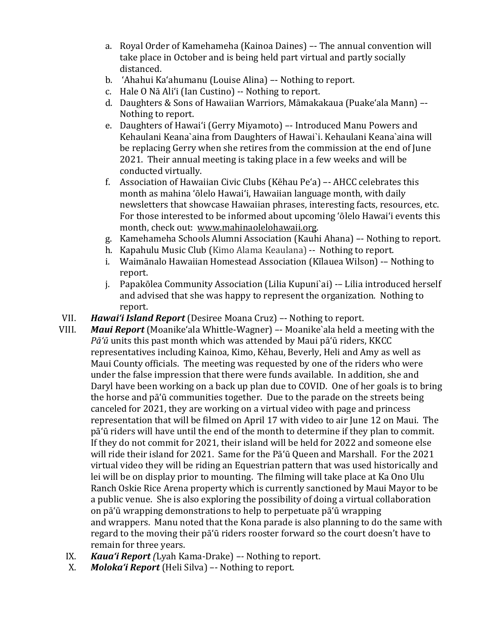- a. Royal Order of Kamehameha (Kainoa Daines) –- The annual convention will take place in October and is being held part virtual and partly socially distanced.
- b. 'Ahahui Ka'ahumanu (Louise Alina) –- Nothing to report.
- c. Hale O Nā Ali'i (Ian Custino) -- Nothing to report.
- d. Daughters & Sons of Hawaiian Warriors, Māmakakaua (Puake'ala Mann) –- Nothing to report.
- e. Daughters of Hawai'i (Gerry Miyamoto) –- Introduced Manu Powers and Kehaulani Keana`aina from Daughters of Hawai`i. Kehaulani Keana`aina will be replacing Gerry when she retires from the commission at the end of June 2021. Their annual meeting is taking place in a few weeks and will be conducted virtually.
- f. Association of Hawaiian Civic Clubs (Kēhau Pe'a) –- AHCC celebrates this month as mahina 'ōlelo Hawai'i, Hawaiian language month, with daily newsletters that showcase Hawaiian phrases, interesting facts, resources, etc. For those interested to be informed about upcoming 'ōlelo Hawai'i events this month, check out: [www.mahinaolelohawaii.org.](http://www.mahinaolelohawaii.org/)
- g. Kamehameha Schools Alumni Association (Kauhi Ahana) –- Nothing to report.
- h. Kapahulu Music Club (Kimo Alama Keaulana) -- Nothing to report.<br>i. Waimānalo Hawaiian Homestead Association (Kīlauea Wilson) -- N
- i. Waimānalo Hawaiian Homestead Association (Kīlauea Wilson) -– Nothing to report.
- j. Papakōlea Community Association (Lilia Kupuni`ai) -– Lilia introduced herself and advised that she was happy to represent the organization. Nothing to report.
- 
- VII. *Hawai'i Island Report* (Desiree Moana Cruz) –- Nothing to report. *Maui Report* (Moanike'ala Whittle-Wagner) –- Moanike'ala held a meeting with the *Pā'ū* units this past month which was attended by Maui pā'ū riders, KKCC representatives including Kainoa, Kimo, Kēhau, Beverly, Heli and Amy as well as Maui County officials. The meeting was requested by one of the riders who were under the false impression that there were funds available. In addition, she and Daryl have been working on a back up plan due to COVID. One of her goals is to bring the horse and pā'ū communities together. Due to the parade on the streets being canceled for 2021, they are working on a virtual video with page and princess representation that will be filmed on April 17 with video to air June 12 on Maui. The pā'ū riders will have until the end of the month to determine if they plan to commit. If they do not commit for 2021, their island will be held for 2022 and someone else will ride their island for 2021. Same for the Pāʻū Queen and Marshall. For the 2021 virtual video they will be riding an Equestrian pattern that was used historically and lei will be on display prior to mounting. The filming will take place at Ka Ono Ulu Ranch Oskie Rice Arena property which is currently sanctioned by Maui Mayor to be a public venue. She is also exploring the possibility of doing a virtual collaboration on pā'ū wrapping demonstrations to help to perpetuate pā'ū wrapping and wrappers. Manu noted that the Kona parade is also planning to do the same with regard to the moving their pā'ū riders rooster forward so the court doesn't have to remain for three years.
	- IX. *Kaua'i Report (*Lyah Kama-Drake) *–-* Nothing to report.
	- X. *Moloka'i Report* (Heli Silva) –- Nothing to report.